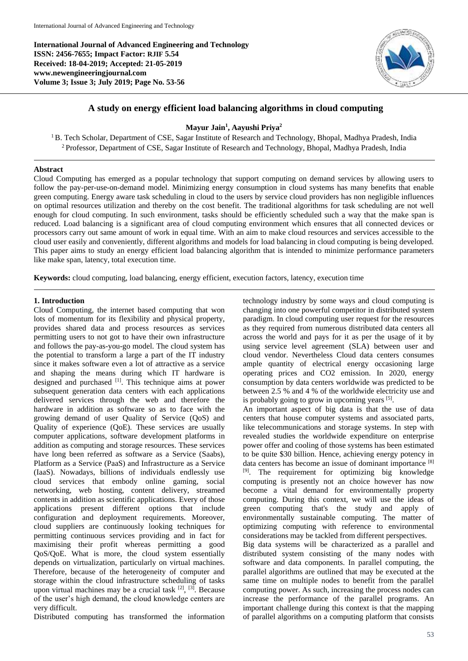**International Journal of Advanced Engineering and Technology ISSN: 2456-7655; Impact Factor: RJIF 5.54 Received: 18-04-2019; Accepted: 21-05-2019 www.newengineeringjournal.com Volume 3; Issue 3; July 2019; Page No. 53-56**



# **A study on energy efficient load balancing algorithms in cloud computing**

## **Mayur Jain<sup>1</sup> , Aayushi Priya<sup>2</sup>**

<sup>1</sup>B. Tech Scholar, Department of CSE, Sagar Institute of Research and Technology, Bhopal, Madhya Pradesh, India <sup>2</sup> Professor, Department of CSE, Sagar Institute of Research and Technology, Bhopal, Madhya Pradesh, India

## **Abstract**

Cloud Computing has emerged as a popular technology that support computing on demand services by allowing users to follow the pay-per-use-on-demand model. Minimizing energy consumption in cloud systems has many benefits that enable green computing. Energy aware task scheduling in cloud to the users by service cloud providers has non negligible influences on optimal resources utilization and thereby on the cost benefit. The traditional algorithms for task scheduling are not well enough for cloud computing. In such environment, tasks should be efficiently scheduled such a way that the make span is reduced. Load balancing is a significant area of cloud computing environment which ensures that all connected devices or processors carry out same amount of work in equal time. With an aim to make cloud resources and services accessible to the cloud user easily and conveniently, different algorithms and models for load balancing in cloud computing is being developed. This paper aims to study an energy efficient load balancing algorithm that is intended to minimize performance parameters like make span, latency, total execution time.

**Keywords:** cloud computing, load balancing, energy efficient, execution factors, latency, execution time

#### **1. Introduction**

Cloud Computing, the internet based computing that won lots of momentum for its flexibility and physical property, provides shared data and process resources as services permitting users to not got to have their own infrastructure and follows the pay-as-you-go model. The cloud system has the potential to transform a large a part of the IT industry since it makes software even a lot of attractive as a service and shaping the means during which IT hardware is designed and purchased <sup>[1]</sup>. This technique aims at power subsequent generation data centers with each applications delivered services through the web and therefore the hardware in addition as software so as to face with the growing demand of user Quality of Service (QoS) and Quality of experience (QoE). These services are usually computer applications, software development platforms in addition as computing and storage resources. These services have long been referred as software as a Service (Saabs). Platform as a Service (PaaS) and Infrastructure as a Service (IaaS). Nowadays, billions of individuals endlessly use cloud services that embody online gaming, social networking, web hosting, content delivery, streamed contents in addition as scientific applications. Every of those applications present different options that include configuration and deployment requirements. Moreover, cloud suppliers are continuously looking techniques for permitting continuous services providing and in fact for maximising their profit whereas permitting a good QoS/QoE. What is more, the cloud system essentially depends on virtualization, particularly on virtual machines. Therefore, because of the heterogeneity of computer and storage within the cloud infrastructure scheduling of tasks upon virtual machines may be a crucial task  $[2]$ ,  $[3]$ . Because of the user's high demand, the cloud knowledge centers are very difficult.

Distributed computing has transformed the information

technology industry by some ways and cloud computing is changing into one powerful competitor in distributed system paradigm. In cloud computing user request for the resources as they required from numerous distributed data centers all across the world and pays for it as per the usage of it by using service level agreement (SLA) between user and cloud vendor. Nevertheless Cloud data centers consumes ample quantity of electrical energy occasioning large operating prices and CO2 emission. In 2020, energy consumption by data centers worldwide was predicted to be between 2.5 % and 4 % of the worldwide electricity use and is probably going to grow in upcoming years [5].

An important aspect of big data is that the use of data centers that house computer systems and associated parts, like telecommunications and storage systems. In step with revealed studies the worldwide expenditure on enterprise power offer and cooling of those systems has been estimated to be quite \$30 billion. Hence, achieving energy potency in data centers has become an issue of dominant importance [8] [9]. The requirement for optimizing big knowledge computing is presently not an choice however has now become a vital demand for environmentally property computing. During this context, we will use the ideas of green computing that's the study and apply of environmentally sustainable computing. The matter of optimizing computing with reference to environmental considerations may be tackled from different perspectives. Big data systems will be characterized as a parallel and distributed system consisting of the many nodes with software and data components. In parallel computing, the parallel algorithms are outlined that may be executed at the same time on multiple nodes to benefit from the parallel computing power. As such, increasing the process nodes can increase the performance of the parallel programs. An important challenge during this context is that the mapping of parallel algorithms on a computing platform that consists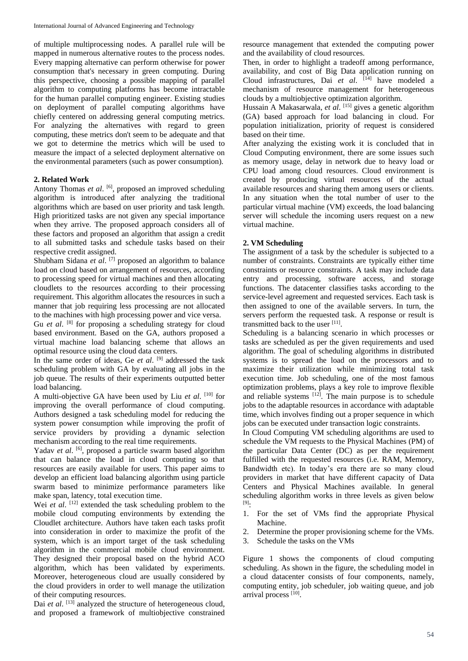of multiple multiprocessing nodes. A parallel rule will be mapped in numerous alternative routes to the process nodes. Every mapping alternative can perform otherwise for power consumption that's necessary in green computing. During this perspective, choosing a possible mapping of parallel algorithm to computing platforms has become intractable for the human parallel computing engineer. Existing studies on deployment of parallel computing algorithms have chiefly centered on addressing general computing metrics. For analyzing the alternatives with regard to green computing, these metrics don't seem to be adequate and that we got to determine the metrics which will be used to measure the impact of a selected deployment alternative on the environmental parameters (such as power consumption).

#### **2. Related Work**

Antony Thomas et al. <sup>[6]</sup>, proposed an improved scheduling algorithm is introduced after analyzing the traditional algorithms which are based on user priority and task length. High prioritized tasks are not given any special importance when they arrive. The proposed approach considers all of these factors and proposed an algorithm that assign a credit to all submitted tasks and schedule tasks based on their respective credit assigned.

Shubham Sidana et al.<sup>[7]</sup> proposed an algorithm to balance load on cloud based on arrangement of resources, according to processing speed for virtual machines and then allocating cloudlets to the resources according to their processing requirement. This algorithm allocates the resources in such a manner that job requiring less processing are not allocated to the machines with high processing power and vice versa. Gu *et al.* <sup>[8]</sup> for proposing a scheduling strategy for cloud

based environment. Based on the GA, authors proposed a virtual machine load balancing scheme that allows an optimal resource using the cloud data centers.

In the same order of ideas, Ge *et al*. [9] addressed the task scheduling problem with GA by evaluating all jobs in the job queue. The results of their experiments outputted better load balancing.

A multi-objective GA have been used by Liu *et al*. [10] for improving the overall performance of cloud computing. Authors designed a task scheduling model for reducing the system power consumption while improving the profit of service providers by providing a dynamic selection mechanism according to the real time requirements.

Yadav et al. <sup>[6]</sup>, proposed a particle swarm based algorithm that can balance the load in cloud computing so that resources are easily available for users. This paper aims to develop an efficient load balancing algorithm using particle swarm based to minimize performance parameters like make span, latency, total execution time.

Wei *et al.* <sup>[12]</sup> extended the task scheduling problem to the mobile cloud computing environments by extending the Cloudlet architecture. Authors have taken each tasks profit into consideration in order to maximize the profit of the system, which is an import target of the task scheduling algorithm in the commercial mobile cloud environment. They designed their proposal based on the hybrid ACO algorithm, which has been validated by experiments. Moreover, heterogeneous cloud are usually considered by the cloud providers in order to well manage the utilization of their computing resources.

Dai *et al.* <sup>[13]</sup> analyzed the structure of heterogeneous cloud, and proposed a framework of multiobjective constrained

resource management that extended the computing power and the availability of cloud resources.

Then, in order to highlight a tradeoff among performance, availability, and cost of Big Data application running on Cloud infrastructures, Dai *et al*. [14] have modeled a mechanism of resource management for heterogeneous clouds by a multiobjective optimization algorithm.

Hussain A Makasarwala, *et al*. [15] gives a genetic algorithm (GA) based approach for load balancing in cloud. For population initialization, priority of request is considered based on their time.

After analyzing the existing work it is concluded that in Cloud Computing environment, there are some issues such as memory usage, delay in network due to heavy load or CPU load among cloud resources. Cloud environment is created by producing virtual resources of the actual available resources and sharing them among users or clients. In any situation when the total number of user to the particular virtual machine (VM) exceeds, the load balancing server will schedule the incoming users request on a new virtual machine.

#### **2. VM Scheduling**

The assignment of a task by the scheduler is subjected to a number of constraints. Constraints are typically either time constraints or resource constraints. A task may include data entry and processing, software access, and storage functions. The datacenter classifies tasks according to the service-level agreement and requested services. Each task is then assigned to one of the available servers. In turn, the servers perform the requested task. A response or result is transmitted back to the user [11].

Scheduling is a balancing scenario in which processes or tasks are scheduled as per the given requirements and used algorithm. The goal of scheduling algorithms in distributed systems is to spread the load on the processors and to maximize their utilization while minimizing total task execution time. Job scheduling, one of the most famous optimization problems, plays a key role to improve flexible and reliable systems <sup>[12]</sup>. The main purpose is to schedule jobs to the adaptable resources in accordance with adaptable time, which involves finding out a proper sequence in which jobs can be executed under transaction logic constraints.

In Cloud Computing VM scheduling algorithms are used to schedule the VM requests to the Physical Machines (PM) of the particular Data Center (DC) as per the requirement fulfilled with the requested resources (i.e. RAM, Memory, Bandwidth etc). In today's era there are so many cloud providers in market that have different capacity of Data Centers and Physical Machines available. In general scheduling algorithm works in three levels as given below [9]:

- 1. For the set of VMs find the appropriate Physical Machine.
- 2. Determine the proper provisioning scheme for the VMs.
- 3. Schedule the tasks on the VMs

Figure 1 shows the components of cloud computing scheduling. As shown in the figure, the scheduling model in a cloud datacenter consists of four components, namely, computing entity, job scheduler, job waiting queue, and job arrival process [10].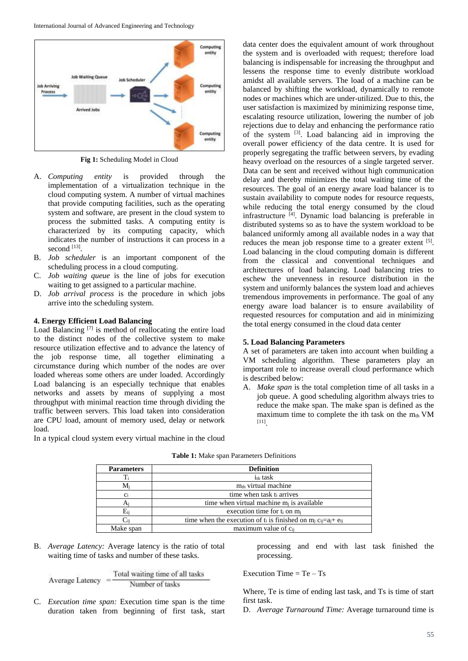

**Fig 1:** Scheduling Model in Cloud

- A. *Computing entity* is provided through the implementation of a virtualization technique in the cloud computing system. A number of virtual machines that provide computing facilities, such as the operating system and software, are present in the cloud system to process the submitted tasks. A computing entity is characterized by its computing capacity, which indicates the number of instructions it can process in a second  $^{[13]}$ .
- B. *Job scheduler* is an important component of the scheduling process in a cloud computing.
- C. *Job waiting queue* is the line of jobs for execution waiting to get assigned to a particular machine.
- D. *Job arrival process* is the procedure in which jobs arrive into the scheduling system.

#### **4. Energy Efficient Load Balancing**

Load Balancing  $[7]$  is method of reallocating the entire load to the distinct nodes of the collective system to make resource utilization effective and to advance the latency of the job response time, all together eliminating a circumstance during which number of the nodes are over loaded whereas some others are under loaded. Accordingly Load balancing is an especially technique that enables networks and assets by means of supplying a most throughput with minimal reaction time through dividing the traffic between servers. This load taken into consideration are CPU load, amount of memory used, delay or network load.

In a typical cloud system every virtual machine in the cloud

data center does the equivalent amount of work throughout the system and is overloaded with request; therefore load balancing is indispensable for increasing the throughput and lessens the response time to evenly distribute workload amidst all available servers. The load of a machine can be balanced by shifting the workload, dynamically to remote nodes or machines which are under-utilized. Due to this, the user satisfaction is maximized by minimizing response time, escalating resource utilization, lowering the number of job rejections due to delay and enhancing the performance ratio of the system [3]. Load balancing aid in improving the overall power efficiency of the data centre. It is used for properly segregating the traffic between servers, by evading heavy overload on the resources of a single targeted server. Data can be sent and received without high communication delay and thereby minimizes the total waiting time of the resources. The goal of an energy aware load balancer is to sustain availability to compute nodes for resource requests, while reducing the total energy consumed by the cloud infrastructure [4]. Dynamic load balancing is preferable in distributed systems so as to have the system workload to be balanced uniformly among all available nodes in a way that reduces the mean job response time to a greater extent [5]. Load balancing in the cloud computing domain is different from the classical and conventional techniques and architectures of load balancing. Load balancing tries to eschew the unevenness in resource distribution in the system and uniformly balances the system load and achieves tremendous improvements in performance. The goal of any energy aware load balancer is to ensure availability of requested resources for computation and aid in minimizing the total energy consumed in the cloud data center

## **5. Load Balancing Parameters**

A set of parameters are taken into account when building a VM scheduling algorithm. These parameters play an important role to increase overall cloud performance which is described below:

A. *Make span* is the total completion time of all tasks in a job queue. A good scheduling algorithm always tries to reduce the make span. The make span is defined as the maximum time to complete the ith task on the  $m<sub>th</sub>$  VM [11] .

| <b>Parameters</b> | <b>Definition</b>                                                           |
|-------------------|-----------------------------------------------------------------------------|
| Ti                | i <sub>th</sub> task                                                        |
| Mi                | m <sub>th</sub> virtual machine                                             |
| C <sub>i</sub>    | time when task t <sub>i</sub> arrives                                       |
|                   | time when virtual machine $m_i$ is available                                |
| $\rm E_{ii}$      | execution time for $t_i$ on $m_i$                                           |
|                   | time when the execution of $t_i$ is finished on $m_i c_{ij} = a_i + e_{ij}$ |
| Make span         | maximum value of c <sub>ij</sub>                                            |

**Table 1:** Make span Parameters Definitions

B. *Average Latency:* Average latency is the ratio of total waiting time of tasks and number of these tasks.

$$
Average Latency = \frac{Total waiting time of all tasks}{Number of tasks}
$$

C. *Execution time span:* Execution time span is the time duration taken from beginning of first task, start processing and end with last task finished the processing.

## Execution Time  $=$  Te  $-$  Ts

Where, Te is time of ending last task, and Ts is time of start first task.

D. *Average Turnaround Time:* Average turnaround time is